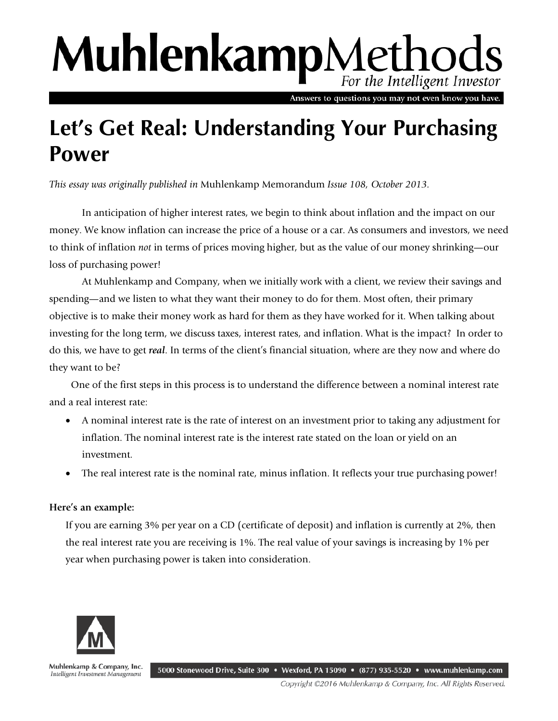## MuhlenkampMethods For the Intelligent Investor

Answers to questions you may not even know you have.

## **Let's Get Real: Understanding Your Purchasing Power**

*This essay was originally published in* Muhlenkamp Memorandum *Issue 108, October 2013.* 

In anticipation of higher interest rates, we begin to think about inflation and the impact on our money. We know inflation can increase the price of a house or a car. As consumers and investors, we need to think of inflation *not* in terms of prices moving higher, but as the value of our money shrinking—our loss of purchasing power!

At Muhlenkamp and Company, when we initially work with a client, we review their savings and spending—and we listen to what they want their money to do for them. Most often, their primary objective is to make their money work as hard for them as they have worked for it. When talking about investing for the long term, we discuss taxes, interest rates, and inflation. What is the impact? In order to do this, we have to get *real*. In terms of the client's financial situation, where are they now and where do they want to be?

 One of the first steps in this process is to understand the difference between a nominal interest rate and a real interest rate:

- A nominal interest rate is the rate of interest on an investment prior to taking any adjustment for inflation. The nominal interest rate is the interest rate stated on the loan or yield on an investment.
- The real interest rate is the nominal rate, minus inflation. It reflects your true purchasing power!

## **Here's an example:**

If you are earning 3% per year on a CD (certificate of deposit) and inflation is currently at 2%, then the real interest rate you are receiving is 1%. The real value of your savings is increasing by 1% per year when purchasing power is taken into consideration.



Muhlenkamp & Company, Inc. 5000 Stonewood Drive, Suite 300 • Wexford, PA 15090 • (877) 935-5520 • www.muhlenkamp.com Intelligent Investment Management

Copyright ©2016 Muhlenkamp & Company, Inc. All Rights Reserved.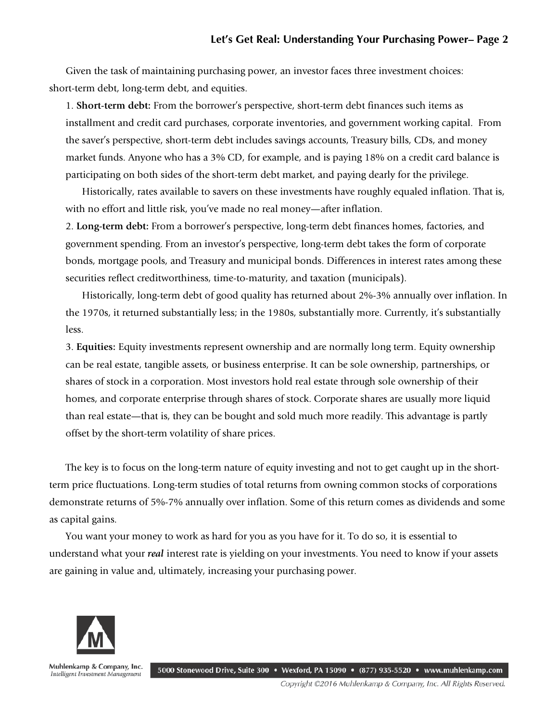Given the task of maintaining purchasing power, an investor faces three investment choices: short-term debt, long-term debt, and equities.

1. **Short-term debt:** From the borrower's perspective, short-term debt finances such items as installment and credit card purchases, corporate inventories, and government working capital. From the saver's perspective, short-term debt includes savings accounts, Treasury bills, CDs, and money market funds. Anyone who has a 3% CD, for example, and is paying 18% on a credit card balance is participating on both sides of the short-term debt market, and paying dearly for the privilege.

Historically, rates available to savers on these investments have roughly equaled inflation. That is, with no effort and little risk, you've made no real money—after inflation.

2. **Long-term debt:** From a borrower's perspective, long-term debt finances homes, factories, and government spending. From an investor's perspective, long-term debt takes the form of corporate bonds, mortgage pools, and Treasury and municipal bonds. Differences in interest rates among these securities reflect creditworthiness, time-to-maturity, and taxation (municipals).

Historically, long-term debt of good quality has returned about 2%-3% annually over inflation. In the 1970s, it returned substantially less; in the 1980s, substantially more. Currently, it's substantially less.

3. **Equities:** Equity investments represent ownership and are normally long term. Equity ownership can be real estate, tangible assets, or business enterprise. It can be sole ownership, partnerships, or shares of stock in a corporation. Most investors hold real estate through sole ownership of their homes, and corporate enterprise through shares of stock. Corporate shares are usually more liquid than real estate—that is, they can be bought and sold much more readily. This advantage is partly offset by the short-term volatility of share prices.

The key is to focus on the long-term nature of equity investing and not to get caught up in the shortterm price fluctuations. Long-term studies of total returns from owning common stocks of corporations demonstrate returns of 5%-7% annually over inflation. Some of this return comes as dividends and some as capital gains.

You want your money to work as hard for you as you have for it. To do so, it is essential to understand what your *real* interest rate is yielding on your investments. You need to know if your assets are gaining in value and, ultimately, increasing your purchasing power.



Muhlenkamp & Company, Inc. 5000 Stonewood Drive, Suite 300 • Wexford, PA 15090 • (877) 935-5520 • www.muhlenkamp.com Intelligent Investment Management

Copyright ©2016 Muhlenkamp & Company, Inc. All Rights Reserved.